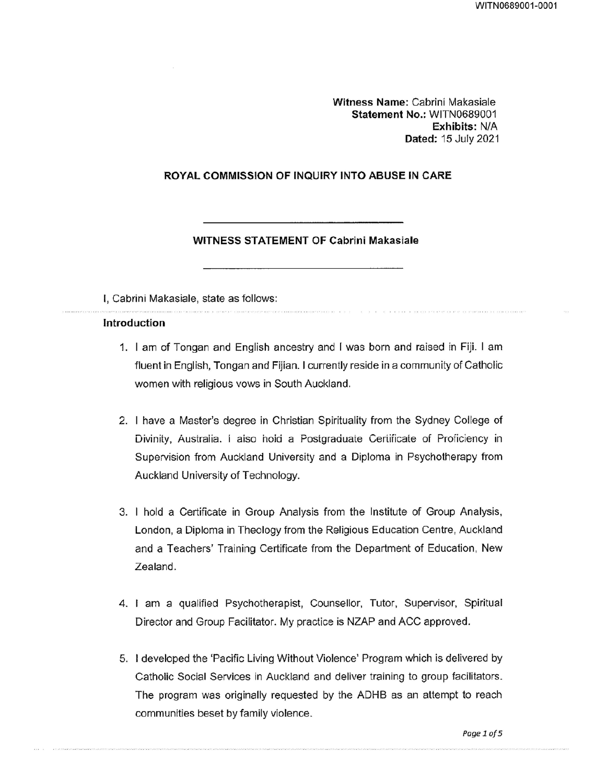Witness Name: Cabrini Makasiale Statement No.: WITN0689001 Exhibits: N/A Dated: 15 July 2021

#### ROYAL COMMISSION OF INQUIRY INTO ABUSE IN CARE

### WITNESS STATEMENT OF Cabrini Makasiale

I, Cabrini Makasiale, state as follows:

#### Introduction

- 1. I am of Tongan and English ancestry and I was born and raised in Fiji. I am fluent in English, Tongan and Fijian. I currently reside in a community of Catholic women with religious vows in South Auckland.
- 2. I have a Master's degree in Christian Spirituality from the Sydney College of Divinity, Australia. I aiso hold a Postgraduate Certificate of Proficiency in Supervision from Auckland University and a Diploma in Psychotherapy from Auckland University of Technology.
- 3. I hold a Certificate in Group Analysis from the Institute of Group Analysis, London, a Diploma in Theology from the Religious Education Centre, Auckland and a Teachers' Training Certificate from the Department of Education, New Zealand.
- 4. I am a qualified Psychotherapist, Counsellor, Tutor, Supervisor, Spiritual Director and Group Facilitator. My practice is NZAP and ACC approved.
- 5. I developed the 'Pacific Living Without Violence' Program which is delivered by Catholic Social Services in Auckland and deliver training to group facilitators. The program was originally requested by the ADHB as an attempt to reach communities beset by family violence.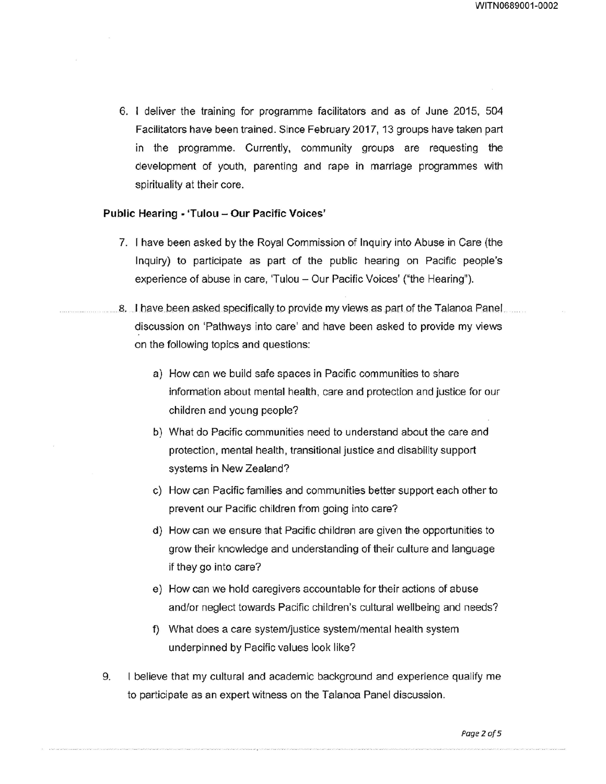6. I deliver the training for programme facilitators and as of June 2015, 504 Facilitators have been trained. Since February 2017, 13 groups have taken part in the programme. Currently, community groups are requesting the development of youth, parenting and rape in marriage programmes with spirituality at their core.

#### Public Hearing - 'Tulou - Our Pacific Voices'

- 7. 1 have been asked by the Royal Commission of Inquiry into Abuse in Care (the Inquiry) to participate as part of the public hearing on Pacific people's experience of abuse in care, 'Tulou — Our Pacific Voices' ("the Hearing").
- 8. I have been asked specifically to provide my views as part of the Talanoa Panel discussion on 'Pathways into care' and have been asked to provide my views on the following topics and questions:
	- a) How can we build safe spaces in Pacific communities to share information about mental health, care and protection and justice for our children and young people?
	- b) What do Pacific communities need to understand about the care and protection, mental health, transitional justice and disability support systems in New Zealand?
	- c) How can Pacific families and communities better support each other to prevent our Pacific children from going into care?
	- d) How can we ensure that Pacific children are given the opportunities to grow their knowledge and understanding of their culture and language if they go into care?
	- e) How can we hold caregivers accountable for their actions of abuse and/or neglect towards Pacific children's cultural wellbeing and needs?
	- f) What does a care system/justice system/mental health system underpinned by Pacific values look like?
- 9. I believe that my cultural and academic background and experience qualify me to participate as an expert witness on the Talanoa Panel discussion.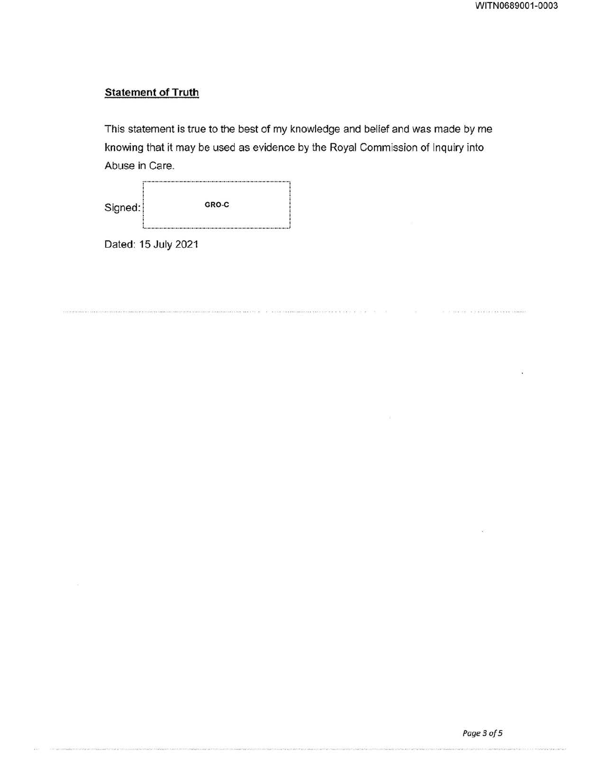# **Statement of Truth**

This statement is true to the best of my knowledge and belief and was made by me knowing that it may be used as evidence by the Royal Commission of Inquiry into Abuse in Care.

 $\label{eq:reduced} \begin{minipage}[t]{0.9\textwidth} \centering \begin{minipage}[t]{0.9\textwidth} \centering \begin{minipage}[t]{0.9\textwidth} \centering \end{minipage}[t]{0.9\textwidth} \centering \begin{minipage}[t]{0.9\textwidth} \centering \end{minipage}[t]{0.9\textwidth} \centering \begin{minipage}[t]{0.9\textwidth} \centering \end{minipage}[t]{0.9\textwidth} \centering \begin{minipage}[t]{0.9\textwidth} \centering \end{minipage}[t]{0.9\textwidth} \centering \begin{minipage}[t]{0.9\textwidth} \centering \end{$ 

| Signed: | 2006 - Anii 100 Anii 100 Anii 100 Anii 100 Anii 100 Anii 100 Anii 100 Anii 110 Anii 120 Anii 130 Anii 140 Ani<br>GRO-C |
|---------|------------------------------------------------------------------------------------------------------------------------|
|         |                                                                                                                        |

Dated: 15 July 2021